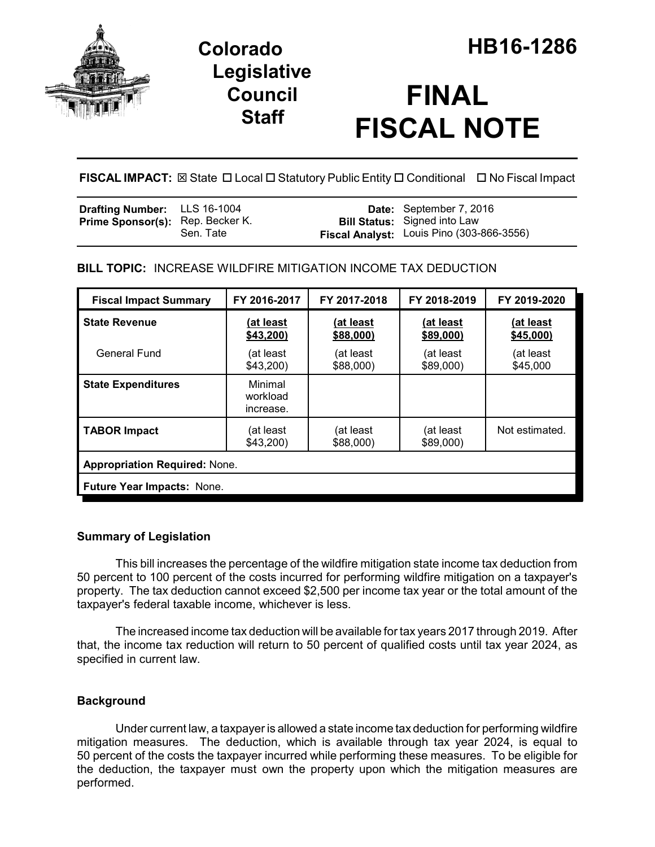

## **Legislative Council Staff**

# **FINAL FISCAL NOTE**

**FISCAL IMPACT:** ⊠ State □ Local □ Statutory Public Entity □ Conditional □ No Fiscal Impact

| Drafting Number: LLS 16-1004            |           | Date: September 7, 2016                                                          |
|-----------------------------------------|-----------|----------------------------------------------------------------------------------|
| <b>Prime Sponsor(s):</b> Rep. Becker K. | Sen. Tate | <b>Bill Status:</b> Signed into Law<br>Fiscal Analyst: Louis Pino (303-866-3556) |

**BILL TOPIC:** INCREASE WILDFIRE MITIGATION INCOME TAX DEDUCTION

| <b>Fiscal Impact Summary</b>         | FY 2016-2017                     | FY 2017-2018           | FY 2018-2019           | FY 2019-2020           |  |
|--------------------------------------|----------------------------------|------------------------|------------------------|------------------------|--|
| <b>State Revenue</b>                 | (at least<br>\$43,200            | (at least<br>\$88,000) | (at least<br>\$89,000) | (at least<br>\$45,000) |  |
| <b>General Fund</b>                  | (at least<br>\$43,200            | (at least<br>\$88,000) | (at least<br>\$89,000) | (at least<br>\$45,000  |  |
| <b>State Expenditures</b>            | Minimal<br>workload<br>increase. |                        |                        |                        |  |
| <b>TABOR Impact</b>                  | (at least<br>\$43,200            | (at least<br>\$88,000) | (at least<br>\$89,000) | Not estimated.         |  |
| <b>Appropriation Required: None.</b> |                                  |                        |                        |                        |  |
| <b>Future Year Impacts: None.</b>    |                                  |                        |                        |                        |  |

## **Summary of Legislation**

This bill increases the percentage of the wildfire mitigation state income tax deduction from 50 percent to 100 percent of the costs incurred for performing wildfire mitigation on a taxpayer's property. The tax deduction cannot exceed \$2,500 per income tax year or the total amount of the taxpayer's federal taxable income, whichever is less.

The increased income tax deduction will be available for tax years 2017 through 2019. After that, the income tax reduction will return to 50 percent of qualified costs until tax year 2024, as specified in current law.

## **Background**

Under current law, a taxpayer is allowed a state income tax deduction for performing wildfire mitigation measures. The deduction, which is available through tax year 2024, is equal to 50 percent of the costs the taxpayer incurred while performing these measures. To be eligible for the deduction, the taxpayer must own the property upon which the mitigation measures are performed.